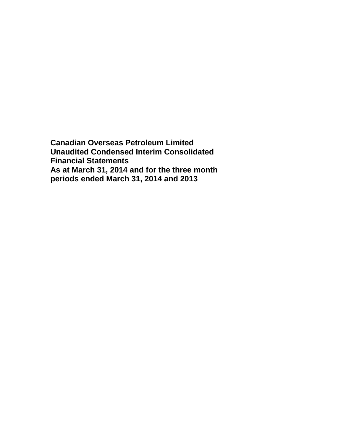**Canadian Overseas Petroleum Limited Unaudited Condensed Interim Consolidated Financial Statements As at March 31, 2014 and for the three month periods ended March 31, 2014 and 2013**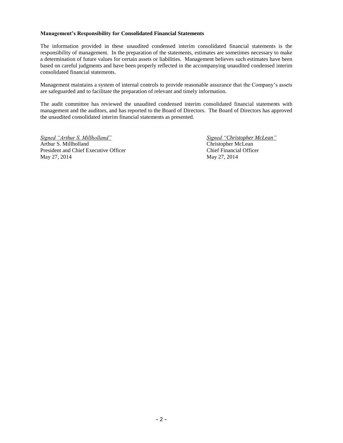### **Management's Responsibility for Consolidated Financial Statements**

The information provided in these unaudited condensed interim consolidated financial statements is the responsibility of management. In the preparation of the statements, estimates are sometimes necessary to make a determination of future values for certain assets or liabilities. Management believes such estimates have been based on careful judgments and have been properly reflected in the accompanying unaudited condensed interim consolidated financial statements.

Management maintains a system of internal controls to provide reasonable assurance that the Company's assets are safeguarded and to facilitate the preparation of relevant and timely information.

The audit committee has reviewed the unaudited condensed interim consolidated financial statements with management and the auditors, and has reported to the Board of Directors. The Board of Directors has approved the unaudited consolidated interim financial statements as presented.

*Signed "Arthur S. Millholland" Signed "Christopher McLean"* Arthur S. Millholland Christopher McLean President and Chief Executive Officer Chief Financial Officer May 27, 2014 May 27, 2014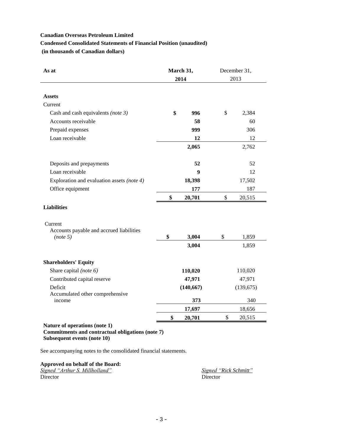# **Condensed Consolidated Statements of Financial Position (unaudited)**

**(in thousands of Canadian dollars)**

| As at                                                                             | March 31, |            | December 31, |            |  |
|-----------------------------------------------------------------------------------|-----------|------------|--------------|------------|--|
|                                                                                   |           | 2014       |              | 2013       |  |
|                                                                                   |           |            |              |            |  |
| <b>Assets</b>                                                                     |           |            |              |            |  |
| Current                                                                           |           |            |              |            |  |
| Cash and cash equivalents (note $3$ )                                             | \$        | 996        | \$           | 2,384      |  |
| Accounts receivable                                                               |           | 58         |              | 60         |  |
| Prepaid expenses                                                                  |           | 999        |              | 306        |  |
| Loan receivable                                                                   |           | 12         |              | 12         |  |
|                                                                                   |           | 2,065      |              | 2,762      |  |
| Deposits and prepayments                                                          |           | 52         |              | 52         |  |
| Loan receivable                                                                   |           | 9          |              | 12         |  |
| Exploration and evaluation assets (note 4)                                        |           | 18,398     |              | 17,502     |  |
| Office equipment                                                                  |           | 177        |              | 187        |  |
|                                                                                   | \$        | 20,701     | \$           | 20,515     |  |
| <b>Liabilities</b>                                                                |           |            |              |            |  |
| Current                                                                           |           |            |              |            |  |
| Accounts payable and accrued liabilities                                          |           |            |              |            |  |
| (note 5)                                                                          | \$        | 3,004      | \$           | 1,859      |  |
|                                                                                   |           | 3,004      |              | 1,859      |  |
| <b>Shareholders' Equity</b>                                                       |           |            |              |            |  |
| Share capital (note 6)                                                            |           | 110,020    |              | 110,020    |  |
| Contributed capital reserve                                                       |           | 47,971     |              | 47,971     |  |
| Deficit                                                                           |           | (140, 667) |              | (139, 675) |  |
| Accumulated other comprehensive                                                   |           |            |              |            |  |
| income                                                                            |           | 373        |              | 340        |  |
|                                                                                   |           | 17,697     |              | 18,656     |  |
|                                                                                   | \$        | 20,701     | \$           | 20,515     |  |
| Nature of operations (note 1)<br>Commitments and contractual obligations (note 7) |           |            |              |            |  |

**Subsequent events (note 10)**

See accompanying notes to the consolidated financial statements.

**Approved on behalf of the Board:** *Signed "Arthur S. Millholland" Signed "Rick Schmitt"* Director Director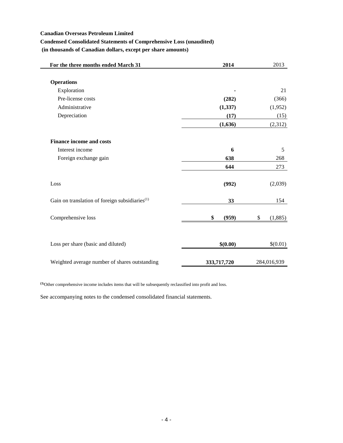# **Condensed Consolidated Statements of Comprehensive Loss (unaudited)**

**(in thousands of Canadian dollars, except per share amounts)**

| For the three months ended March 31                        | 2014        | 2013          |
|------------------------------------------------------------|-------------|---------------|
|                                                            |             |               |
| <b>Operations</b>                                          |             |               |
| Exploration                                                |             | 21            |
| Pre-license costs                                          | (282)       | (366)         |
| Administrative                                             | (1, 337)    | (1,952)       |
| Depreciation                                               | (17)        | (15)          |
|                                                            | (1,636)     | (2,312)       |
| <b>Finance income and costs</b>                            |             |               |
| Interest income                                            | 6           | 5             |
| Foreign exchange gain                                      | 638         | 268           |
|                                                            | 644         | 273           |
| Loss                                                       | (992)       | (2,039)       |
| Gain on translation of foreign subsidiaries <sup>(1)</sup> | 33          | 154           |
| Comprehensive loss                                         | \$<br>(959) | \$<br>(1,885) |
| Loss per share (basic and diluted)                         | \$(0.00)    | \$(0.01)      |
| Weighted average number of shares outstanding              | 333,717,720 | 284,016,939   |

**(1)**Other comprehensive income includes items that will be subsequently reclassified into profit and loss.

See accompanying notes to the condensed consolidated financial statements.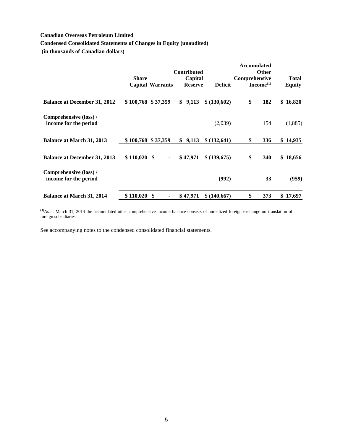# **Condensed Consolidated Statements of Changes in Equity (unaudited)**

**(in thousands of Canadian dollars)**

|                                                 |                      |                         |                                                 |                | <b>Accumulated</b> |                                |                               |
|-------------------------------------------------|----------------------|-------------------------|-------------------------------------------------|----------------|--------------------|--------------------------------|-------------------------------|
|                                                 | <b>Share</b>         | <b>Capital Warrants</b> | <b>Contributed</b><br>Capital<br><b>Reserve</b> | <b>Deficit</b> | Comprehensive      | <b>Other</b><br>$Income^{(1)}$ | <b>Total</b><br><b>Equity</b> |
| <b>Balance at December 31, 2012</b>             | $$100,768$ $$37,359$ |                         | 9,113<br>\$                                     | \$ (130,602)   | \$                 | 182                            | \$16,820                      |
| Comprehensive (loss) /<br>income for the period |                      |                         |                                                 | (2,039)        |                    | 154                            | (1,885)                       |
| <b>Balance at March 31, 2013</b>                | \$100,768            | \$37,359                | \$<br>9,113                                     | \$ (132, 641)  | \$                 | 336                            | \$14,935                      |
| <b>Balance at December 31, 2013</b>             | $$110,020$ \$        | $\blacksquare$          | \$47,971                                        | \$ (139,675)   | \$                 | 340                            | \$18,656                      |
| Comprehensive (loss) /<br>income for the period |                      |                         |                                                 | (992)          |                    | 33                             | (959)                         |
| <b>Balance at March 31, 2014</b>                | \$110,020            | \$                      | \$47,971                                        | \$ (140,667)   | \$                 | 373                            | \$17,697                      |

**(1)**As at March 31, 2014 the accumulated other comprehensive income balance consists of unrealized foreign exchange on translation of foreign subsidiaries.

See accompanying notes to the condensed consolidated financial statements.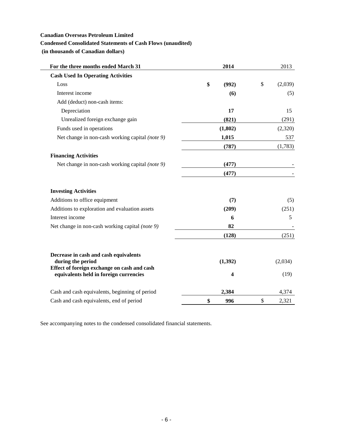# **Condensed Consolidated Statements of Cash Flows (unaudited)**

**(in thousands of Canadian dollars)**

| For the three months ended March 31                                                   | 2014        | 2013          |
|---------------------------------------------------------------------------------------|-------------|---------------|
| <b>Cash Used In Operating Activities</b>                                              |             |               |
| Loss                                                                                  | \$<br>(992) | \$<br>(2,039) |
| Interest income                                                                       | (6)         | (5)           |
| Add (deduct) non-cash items:                                                          |             |               |
| Depreciation                                                                          | 17          | 15            |
| Unrealized foreign exchange gain                                                      | (821)       | (291)         |
| Funds used in operations                                                              | (1,802)     | (2,320)       |
| Net change in non-cash working capital (note 9)                                       | 1,015       | 537           |
|                                                                                       | (787)       | (1,783)       |
| <b>Financing Activities</b>                                                           |             |               |
| Net change in non-cash working capital (note 9)                                       | (477)       |               |
|                                                                                       | (477)       |               |
| <b>Investing Activities</b>                                                           |             |               |
| Additions to office equipment                                                         | (7)         | (5)           |
| Additions to exploration and evaluation assets                                        | (209)       | (251)         |
| Interest income                                                                       | 6           | 5             |
| Net change in non-cash working capital (note 9)                                       | 82          |               |
|                                                                                       | (128)       | (251)         |
| Decrease in cash and cash equivalents<br>during the period                            | (1, 392)    | (2,034)       |
| Effect of foreign exchange on cash and cash<br>equivalents held in foreign currencies | 4           | (19)          |
| Cash and cash equivalents, beginning of period                                        | 2,384       | 4,374         |
| Cash and cash equivalents, end of period                                              | \$<br>996   | \$<br>2,321   |

See accompanying notes to the condensed consolidated financial statements.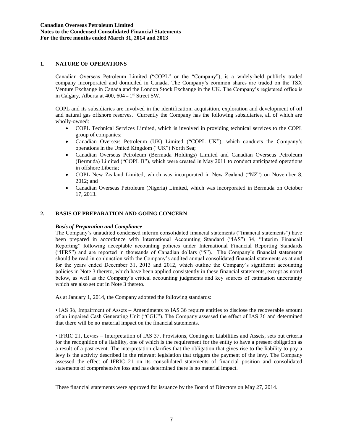## **1. NATURE OF OPERATIONS**

Canadian Overseas Petroleum Limited ("COPL" or the "Company"), is a widely-held publicly traded company incorporated and domiciled in Canada. The Company's common shares are traded on the TSX Venture Exchange in Canada and the London Stock Exchange in the UK. The Company's registered office is in Calgary, Alberta at 400, 604 - 1<sup>st</sup> Street SW.

COPL and its subsidiaries are involved in the identification, acquisition, exploration and development of oil and natural gas offshore reserves. Currently the Company has the following subsidiaries, all of which are wholly-owned:

- COPL Technical Services Limited, which is involved in providing technical services to the COPL group of companies;
- Canadian Overseas Petroleum (UK) Limited ("COPL UK"), which conducts the Company's operations in the United Kingdom ("UK") North Sea;
- Canadian Overseas Petroleum (Bermuda Holdings) Limited and Canadian Overseas Petroleum (Bermuda) Limited ("COPL B"), which were created in May 2011 to conduct anticipated operations in offshore Liberia;
- COPL New Zealand Limited, which was incorporated in New Zealand ("NZ") on November 8, 2012; and
- Canadian Overseas Petroleum (Nigeria) Limited, which was incorporated in Bermuda on October 17, 2013.

## **2. BASIS OF PREPARATION AND GOING CONCERN**

#### *Basis of Preparation and Compliance*

The Company's unaudited condensed interim consolidated financial statements ("financial statements") have been prepared in accordance with International Accounting Standard ("IAS") 34, "Interim Financail Reporting" following acceptable accounting policies under International Financial Reporting Standards ("IFRS") and are reported in thousands of Canadian dollars ("\$"). The Company's financial statements should be read in conjunction with the Company's audited annual consolidated financial statements as at and for the years ended December 31, 2013 and 2012, which outline the Company's significant accounting policies in Note 3 thereto, which have been applied consistently in these financial statements, except as noted below, as well as the Company's critical accounting judgments and key sources of estimation uncertainty which are also set out in Note 3 thereto.

As at January 1, 2014, the Company adopted the following standards:

• IAS 36, Impairment of Assets – Amendments to IAS 36 require entities to disclose the recoverable amount of an impaired Cash Generating Unit ("CGU"). The Company assessed the effect of IAS 36 and determined that there will be no material impact on the financial statements.

• IFRIC 21, Levies – Interpretation of IAS 37, Provisions, Contingent Liabilities and Assets, sets out criteria for the recognition of a liability, one of which is the requirement for the entity to have a present obligation as a result of a past event. The interpretation clarifies that the obligation that gives rise to the liability to pay a levy is the activity described in the relevant legislation that triggers the payment of the levy. The Company assessed the effect of IFRIC 21 on its consolidated statements of financial position and consolidated statements of comprehensive loss and has determined there is no material impact.

These financial statements were approved for issuance by the Board of Directors on May 27, 2014.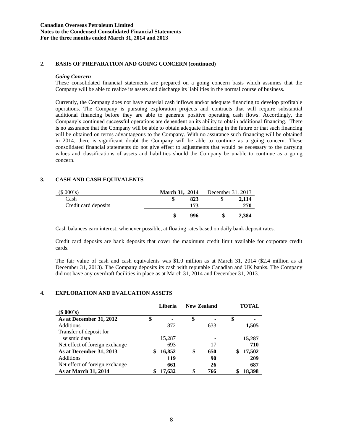## **2. BASIS OF PREPARATION AND GOING CONCERN (continued)**

#### *Going Concern*

These consolidated financial statements are prepared on a going concern basis which assumes that the Company will be able to realize its assets and discharge its liabilities in the normal course of business.

Currently, the Company does not have material cash inflows and/or adequate financing to develop profitable operations. The Company is pursuing exploration projects and contracts that will require substantial additional financing before they are able to generate positive operating cash flows. Accordingly, the Company's continued successful operations are dependent on its ability to obtain additional financing. There is no assurance that the Company will be able to obtain adequate financing in the future or that such financing will be obtained on terms advantageous to the Company. With no assurance such financing will be obtained in 2014, there is significant doubt the Company will be able to continue as a going concern. These consolidated financial statements do not give effect to adjustments that would be necessary to the carrying values and classifications of assets and liabilities should the Company be unable to continue as a going concern.

# **3. CASH AND CASH EQUIVALENTS**

| (\$000's)            | <b>March 31, 2014</b> |     | December 31, 2013 |       |
|----------------------|-----------------------|-----|-------------------|-------|
| Cash                 |                       | 823 |                   | 2.114 |
| Credit card deposits |                       | 173 |                   | 270   |
|                      |                       | 996 |                   | 2.384 |

Cash balances earn interest, whenever possible, at floating rates based on daily bank deposit rates.

Credit card deposits are bank deposits that cover the maximum credit limit available for corporate credit cards.

The fair value of cash and cash equivalents was \$1.0 million as at March 31, 2014 (\$2.4 million as at December 31, 2013). The Company deposits its cash with reputable Canadian and UK banks. The Company did not have any overdraft facilities in place as at March 31, 2014 and December 31, 2013.

## **4. EXPLORATION AND EVALUATION ASSETS**

|                                | Liberia      | <b>New Zealand</b> |    | TOTAL  |
|--------------------------------|--------------|--------------------|----|--------|
| (S 000's)                      |              |                    |    |        |
| As at December 31, 2012        | \$           | \$                 | \$ |        |
| <b>Additions</b>               | 872          | 633                |    | 1,505  |
| Transfer of deposit for        |              |                    |    |        |
| seismic data                   | 15,287       |                    |    | 15,287 |
| Net effect of foreign exchange | 693          | 17                 |    | 710    |
| As at December 31, 2013        | \$<br>16,852 | 650                |    | 17,502 |
| <b>Additions</b>               | 119          | 90                 |    | 209    |
| Net effect of foreign exchange | 661          | 26                 |    | 687    |
| As at March 31, 2014           | \$<br>17,632 | \$<br>766          | S  | 18.398 |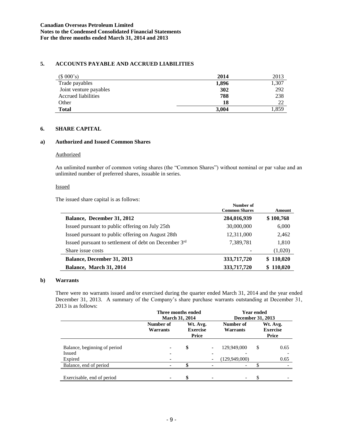## **5. ACCOUNTS PAYABLE AND ACCRUED LIABILITIES**

| (\$000's)                  | 2014  | 2013  |
|----------------------------|-------|-------|
| Trade payables             | 1,896 | 1,307 |
| Joint venture payables     | 302   | 292   |
| <b>Accrued liabilities</b> | 788   | 238   |
| Other                      | 18    | 22    |
| <b>Total</b>               | 3,004 | l.859 |

# **6. SHARE CAPITAL**

#### **a) Authorized and Issued Common Shares**

#### **Authorized**

An unlimited number of common voting shares (the "Common Shares") without nominal or par value and an unlimited number of preferred shares, issuable in series.

#### Issued

The issued share capital is as follows:

|                                                       | Number of<br><b>Common Shares</b> | Amount    |
|-------------------------------------------------------|-----------------------------------|-----------|
| Balance, December 31, 2012                            | 284,016,939                       | \$100,768 |
| Issued pursuant to public offering on July 25th       | 30,000,000                        | 6,000     |
| Issued pursuant to public offering on August 28th     | 12,311,000                        | 2,462     |
| Issued pursuant to settlement of debt on December 3rd | 7,389,781                         | 1,810     |
| Share issue costs                                     |                                   | (1,020)   |
| <b>Balance, December 31, 2013</b>                     | 333,717,720                       | \$110,020 |
| Balance, March 31, 2014                               | 333,717,720                       | \$110,020 |

### **b) Warrants**

There were no warrants issued and/or exercised during the quarter ended March 31, 2014 and the year ended December 31, 2013. A summary of the Company's share purchase warrants outstanding at December 31, 2013 is as follows:

|                              | Three months ended<br><b>March 31, 2014</b> |                                      |  | <b>Year ended</b><br>December 31, 2013 |    |                                      |
|------------------------------|---------------------------------------------|--------------------------------------|--|----------------------------------------|----|--------------------------------------|
|                              | Number of<br>Warrants                       | Wt. Avg.<br><b>Exercise</b><br>Price |  | Number of<br><b>Warrants</b>           |    | Wt. Avg.<br><b>Exercise</b><br>Price |
| Balance, beginning of period |                                             | \$                                   |  | 129,949,000                            | \$ | 0.65                                 |
| Issued                       | ۰                                           |                                      |  |                                        |    |                                      |
| Expired                      |                                             |                                      |  | (129, 949, 000)                        |    | 0.65                                 |
| Balance, end of period       | ۰.                                          |                                      |  |                                        |    |                                      |
| Exercisable, end of period   | $\blacksquare$                              | \$                                   |  |                                        | S  |                                      |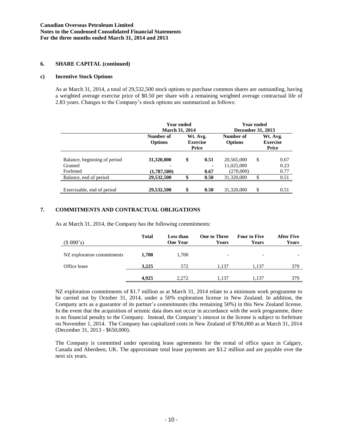## **6. SHARE CAPITAL (continued)**

#### **c) Incentive Stock Options**

As at March 31, 2014, a total of 29,532,500 stock options to purchase common shares are outstanding, having a weighted average exercise price of \$0.50 per share with a remaining weighted average contractual life of 2.83 years. Changes to the Company's stock options are summarized as follows:

|                                                      | <b>Year ended</b><br><b>March 31, 2014</b> |                                      |              | <b>Year ended</b><br>December 31, 2013 |    |                                      |
|------------------------------------------------------|--------------------------------------------|--------------------------------------|--------------|----------------------------------------|----|--------------------------------------|
|                                                      | Number of<br><b>Options</b>                | Wt. Avg.<br><b>Exercise</b><br>Price |              | Number of<br><b>Options</b>            |    | Wt. Avg.<br><b>Exercise</b><br>Price |
| Balance, beginning of period<br>Granted<br>Forfeited | 31,320,000<br>(1,787,500)                  | \$                                   | 0.51<br>0.67 | 20,565,000<br>11,025,000<br>(270,000)  | S  | 0.67<br>0.23<br>0.77                 |
| Balance, end of period                               | 29,532,500                                 | ¢                                    | 0.50         | 31,320,000                             | \$ | 0.51                                 |
| Exercisable, end of period                           | 29,532,500                                 | \$                                   | 0.50         | 31,320,000                             | \$ | 0.51                                 |

# **7. COMMITMENTS AND CONTRACTUAL OBLIGATIONS**

As at March 31, 2014, the Company has the following commitments:

| (\$000's)                  | <b>Total</b> | <b>Less than</b><br><b>One Year</b> | <b>One to Three</b><br>Years | <b>Four to Five</b><br><b>Years</b> | <b>After Five</b><br><b>Years</b> |
|----------------------------|--------------|-------------------------------------|------------------------------|-------------------------------------|-----------------------------------|
| NZ exploration commitments | 1.700        | 1.700                               | $\overline{\phantom{a}}$     | $\overline{\phantom{a}}$            |                                   |
| Office lease               | 3,225        | 572                                 | 1.137                        | 1.137                               | 379                               |
|                            | 4.925        | 2.272                               | 1.137                        | 1.137                               | 379                               |

NZ exploration commitments of \$1.7 million as at March 31, 2014 relate to a minimum work programme to be carried out by October 31, 2014, under a 50% exploration license in New Zealand. In addition, the Company acts as a guarantor of its partner's commitments (the remaining 50%) in this New Zealand license. In the event that the acquisition of seismic data does not occur in accordance with the work programme, there is no financial penalty to the Company. Instead, the Company's interest in the license is subject to forfeiture on November 1, 2014. The Company has capitalized costs in New Zealand of \$766,000 as at March 31, 2014 (December 31, 2013 - \$650,000).

The Company is committed under operating lease agreements for the rental of office space in Calgary, Canada and Aberdeen, UK. The approximate total lease payments are \$3.2 million and are payable over the next six years.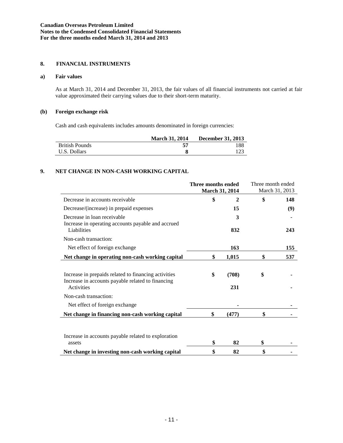### **8. FINANCIAL INSTRUMENTS**

#### **a) Fair values**

As at March 31, 2014 and December 31, 2013, the fair values of all financial instruments not carried at fair value approximated their carrying values due to their short-term maturity.

## **(b) Foreign exchange risk**

Cash and cash equivalents includes amounts denominated in foreign currencies:

|                       | <b>March 31, 2014</b> | <b>December 31, 2013</b> |
|-----------------------|-----------------------|--------------------------|
| <b>British Pounds</b> |                       | 188                      |
| U.S. Dollars          |                       | 123                      |

## **9. NET CHANGE IN NON-CASH WORKING CAPITAL**

|                                                                                                                                | Three months ended<br><b>March 31, 2014</b> |              | Three month ended<br>March 31, 2013 |     |
|--------------------------------------------------------------------------------------------------------------------------------|---------------------------------------------|--------------|-------------------------------------|-----|
| Decrease in accounts receivable                                                                                                | \$                                          | $\mathbf{2}$ | \$                                  | 148 |
| Decrease/(increase) in prepaid expenses                                                                                        |                                             | 15           |                                     | (9) |
| Decrease in loan receivable<br>Increase in operating accounts payable and accrued                                              |                                             | 3            |                                     |     |
| Liabilities                                                                                                                    |                                             | 832          |                                     | 243 |
| Non-cash transaction:                                                                                                          |                                             |              |                                     |     |
| Net effect of foreign exchange                                                                                                 |                                             | 163          |                                     | 155 |
| Net change in operating non-cash working capital                                                                               | \$                                          | 1,015        | \$                                  | 537 |
| Increase in prepaids related to financing activities<br>Increase in accounts payable related to financing<br><b>Activities</b> | \$                                          | (708)<br>231 | \$                                  |     |
| Non-cash transaction:                                                                                                          |                                             |              |                                     |     |
| Net effect of foreign exchange                                                                                                 |                                             |              |                                     |     |
| Net change in financing non-cash working capital                                                                               | \$                                          | (477)        | \$                                  |     |
| Increase in accounts payable related to exploration<br>assets                                                                  | \$                                          | 82           | \$                                  |     |
| Net change in investing non-cash working capital                                                                               | \$                                          | 82           | \$                                  |     |